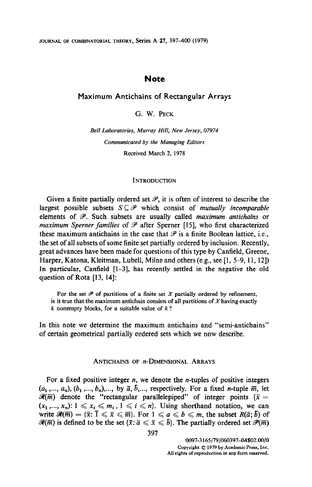# **Note**

# Maximum Antichains of Rectangular Arrays

G. W. PECK

Bell Laboratories, Murray Hill, New Jersey, 07974 Communicated by the Managing Editors Received March 2, 1978

### **INTRODUCTION**

Given a finite partially ordered set  $\mathcal{P}$ , it is often of interest to describe the largest possible subsets  $S \subseteq \mathcal{P}$  which consist of *mutually incomparable* elements of  $P$ . Such subsets are usually called *maximum antichains* or maximum Sperner families of  $\mathscr P$  after Sperner [15], who first characterized these maximum antichains in the case that  $\mathscr P$  is a finite Boolean lattice, i.e., the set of all subsets of some finite set partially ordered by inclusion. Recently, great advances have been made for questions of this type by Canfield, Greene, Harper, Katona, Kleitman, Lubell, Milne and others (e.g., see [I, 5-9, 11, 121) In particular, Canfield [1-3], has recently settled in the negative the old question of Rota [13, 141:

For the set  $\mathcal P$  of partitions of a finite set X partially ordered by refinement, is it true that the maximum antichain consists of all partitions of  $X$  having exactly  $k$  nonempty blocks, for a suitable value of  $k$ ?

In this note we determine the maximum antichains and "semi-antichains" of certain geometrical partially ordered sets which we now describe.

## ANTICHAINS OF  $n$ -DIMENSIONAL ARRAYS

For a fixed positive integer  $n$ , we denote the *n*-tuples of positive integers  $(a_1, ..., a_n), (b_1, ..., b_n), ...,$  by  $\bar{a}, \bar{b}, ...,$  respectively. For a fixed *n*-tuple  $\bar{m}$ , let  $\mathcal{R}(\overline{m})$  denote the "rectangular parallelepiped" of integer points { $\overline{x} =$  $(x_1, ..., x_n): 1 \leq x_i \leq m_i, 1 \leq i \leq n$ . Using shorthand notation, we can write  $\mathscr{R}(\overline{m}) = {\overline{x}}: \overline{1} \leqslant \overline{x} \leqslant \overline{m}$ . For  $1 \leqslant a \leqslant b \leqslant m$ , the subset  $R(\overline{a}; b)$  of  $\mathcal{R}(\overline{m})$  is defined to be the set  $\{\overline{x} : \overline{a} \leq \overline{x} \leq \overline{b}\}$ . The partially ordered set  $\mathcal{P}(\overline{m})$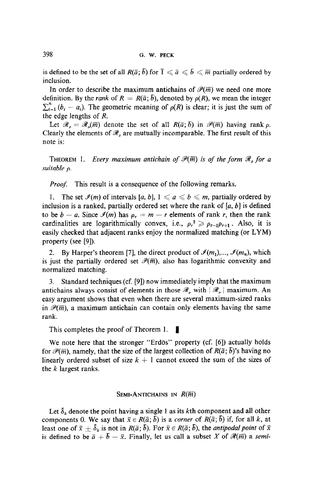is defined to be the set of all  $R(\bar{a}; \bar{b})$  for  $\bar{1} \leq \bar{a} \leq \bar{b} \leq \bar{m}$  partially ordered by inclusion.

In order to describe the maximum antichains of  $\mathcal{P}(\overline{m})$  we need one more definition. By the rank of  $R = R(\bar{a}; \bar{b})$ , denoted by  $\rho(R)$ , we mean the integer  $\sum_{i=1}^{n} (b_i - a_i)$ . The geometric meaning of  $\rho(R)$  is clear; it is just the sum of the edge lengths of R.

Let  $\mathscr{R}_{\rho} = \mathscr{R}_{\rho}(\overline{m})$  denote the set of all  $R(\overline{a}; b)$  in  $\mathscr{P}(\overline{m})$  having rank  $\rho$ . Clearly the elements of  $\mathcal{R}_{o}$  are mutually incomparable. The first result of this note is:

THEOREM 1. Every maximum antichain of  $\mathcal{P}(\overline{m})$  is of the form  $\mathcal{R}_o$  for a suitable p.

Proof. This result is a consequence of the following remarks.

1. The set  $\mathcal{I}(m)$  of intervals [a, b],  $1 \le a \le b \le m$ , partially ordered by inclusion is a ranked, partially ordered set where the rank of  $[a, b]$  is defined to be  $b - a$ . Since  $\mathcal{I}(m)$  has  $\rho_r = m - r$  elements of rank r, then the rank cardinalities are logarithmically convex, i.e.,  $\rho_r^2 \ge \rho_{r-1}\rho_{r+1}$ . Also, it is easily checked that adjacent ranks enjoy the normalized matching (or LYM) property (see [9]).

2. By Harper's theorem [7], the direct product of  $\mathcal{I}(m_1),...,\mathcal{I}(m_n)$ , which is just the partially ordered set  $\mathcal{P}(\overline{m})$ , also has logarithmic convexity and normalized matching.

3. Standard techniques (cf. [9]) now immediately imply that the maximum antichains always consist of elements in those  $\mathcal{R}_{\rho}$  with  $|\mathcal{R}_{\rho}|$  maximum. An easy argument shows that even when there are several maximum-sized ranks in  $\mathcal{P}(\overline{m})$ , a maximum antichain can contain only elements having the same rank.

This completes the proof of Theorem 1.  $\blacksquare$ 

We note that the stronger  $\mathcal{L}(\mathbf{r}, \mathbf{r})$  and  $\mathcal{L}(\mathbf{r}, \mathbf{r})$  and  $\mathcal{L}(\mathbf{r}, \mathbf{r})$  actually holds  $\frac{1}{\sqrt{2}}$  for  $\frac{1}{\sqrt{2}}$  (e),  $\frac{1}{\sqrt{2}}$  (e),  $\frac{1}{\sqrt{2}}$  (e),  $\frac{1}{\sqrt{2}}$  (e),  $\frac{1}{\sqrt{2}}$ for  $\mathcal{P}(\overline{m})$ , namely, that the size of the largest collection of  $R(\overline{a};\overline{b})$ 's having no linearly ordered subset of size  $k + 1$  cannot exceed the sum of the sizes of the k largest ranks.

# SEMI-ANTICHAINS IN R(%)

Let 8, denote the point having a single 1 as its kth component and all other Let  $\sigma_k$  denote the point having a single 1 as its kin component and all binds components 0. We say that  $\bar{x} \in R(\bar{a}; b)$  is a *corner* of  $R(\bar{a}; b)$  if, for all k, at least one of  $\bar{x} \pm \bar{\delta}_k$  is not in  $R(\bar{a}; \bar{b})$ . For  $\bar{x} \in R(\bar{a}; \bar{b})$ , the *antipodal point* of  $\bar{x}$  is defined to be  $\bar{a} + \bar{b} - \bar{x}$ . Finally, let us call a subset X of  $\mathcal{R}(\bar{m})$  a *semi*-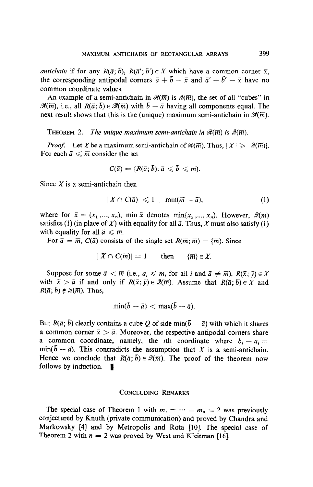*antichain* if for any  $R(\bar{a}; \bar{b})$ ,  $R(\bar{a}'; \bar{b}') \in X$  which have a common corner  $\bar{x}$ , the corresponding antipodal corners  $\bar{a} + \bar{b} - \bar{x}$  and  $\bar{a}' + \bar{b}' - \bar{x}$  have no common coordinate values.

An example of a semi-antichain in  $\mathcal{R}(\overline{m})$  is  $\mathcal{Q}(\overline{m})$ , the set of all "cubes" in  $\mathscr{R}(\overline{m})$ , i.e., all  $R(\overline{a}; \overline{b}) \in \mathscr{R}(\overline{m})$  with  $\overline{b} - \overline{a}$  having all components equal. The next result shows that this is the (unique) maximum semi-antichain in  $\mathcal{R}(\overline{m})$ .

THEOREM 2. The unique maximum semi-antichain in  $\mathcal{R}(\overline{m})$  is  $\mathcal{Q}(\overline{m})$ .

*Proof.* Let X be a maximum semi-antichain of  $\mathcal{R}(\overline{m})$ . Thus,  $|X| \geq | \mathcal{Q}(\overline{m})|$ . For each  $\bar{a} \leq \bar{m}$  consider the set

$$
C(\bar{a})=\{R(\bar{a};\bar{b});\bar{a}\leqslant \bar{b}\leqslant \bar{m}\}.
$$

Since  $X$  is a semi-antichain then

$$
|X \cap C(\bar{a})| \leq 1 + \min(\bar{m} - \bar{a}), \tag{1}
$$

where for  $\bar{x} = (x_1, ..., x_n)$ , min  $\bar{x}$  denotes min $\{x_1, ..., x_n\}$ . However,  $\mathcal{Q}(\bar{m})$ satisfies (1) (in place of X) with equality for all  $\bar{a}$ . Thus, X must also satisfy (1) with equality for all  $\bar{a} \leq \bar{m}$ .

For  $\bar{a} = \bar{m}$ ,  $C(\bar{a})$  consists of the single set  $R(\bar{m}; \bar{m}) = {\bar{m}}$ . Since

$$
|X \cap C(\overline{m})| = 1 \quad \text{then} \quad {\overline{m}} \in X.
$$

Suppose for some  $\bar{a} < \bar{m}$  (i.e.,  $a_i \leq m_i$  for all i and  $\bar{a} \neq \bar{m}$ ),  $R(\bar{x}; \bar{y}) \in X$ with  $\bar{x} > \bar{a}$  if and only if  $R(\bar{x}; \bar{y}) \in \mathcal{Q}(\bar{m})$ . Assume that  $R(\bar{a}; \bar{b}) \in X$  and  $R(\bar{a};\bar{b}) \notin \mathcal{Q}(\bar{m})$ . Thus,

$$
\min(\bar{b}-\bar{a}) < \max(\bar{b}-\bar{a}).
$$

But  $R(\bar{a}; \bar{b})$  clearly contains a cube Q of side min( $\bar{b} - \bar{a}$ ) with which it shares a common corner  $\bar{x} > \bar{a}$ . Moreover, the respective antipodal corners share a common coordinate, namely, the *i*th coordinate where  $b_i - a_i =$  $min(b - \bar{a})$ . This contradicts the assumption that X is a semi-antichain. Hence we conclude that  $R(\bar{a}; \bar{b}) \in \mathcal{Q}(\bar{m})$ . The proof of the theorem now follows by induction.  $\blacksquare$ 

## CONCLUDING REMARKS

The special case of Theorem 1 with  $m_1 = \cdots = m_n = 2$  was previously conjectured by Knuth (private communication) and proved by Chandra and Markowsky [4] and by Metropolis and Rota [IO]. The special case of Theorem 2 with  $n = 2$  was proved by West and Kleitman [16].